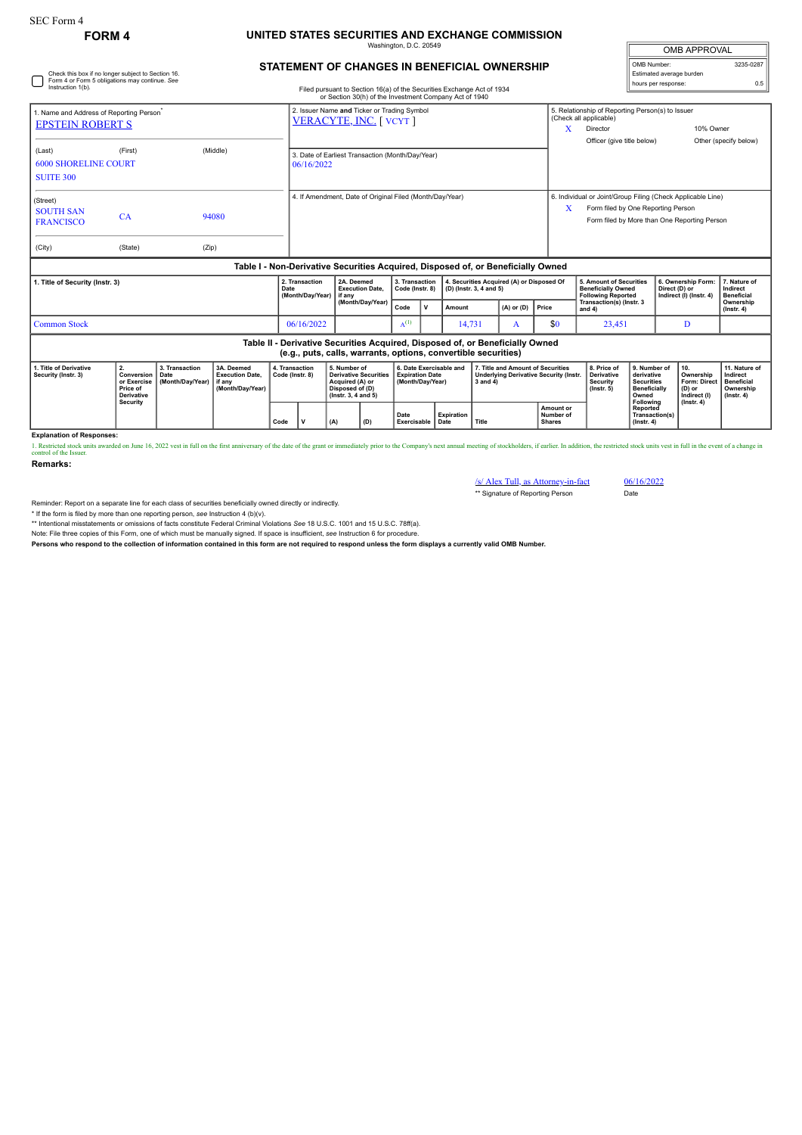## **FORM 4 UNITED STATES SECURITIES AND EXCHANGE COMMISSION** Washington, D.C. 20549

| <b>OMB APPROVAL</b>      |           |
|--------------------------|-----------|
| OMB Number:              | 3235-0287 |
| Estimated average burden |           |
| hours per response:      | 0.5       |

## **STATEMENT OF CHANGES IN BENEFICIAL OWNERSHIP**

| Check this box if no longer subject to Section 16.<br>Form 4 or Form 5 obligations may continue. See<br>Instruction 1(b).<br>Filed pursuant to Section 16(a) of the Securities Exchange Act of 1934 |                                                                                     |                                                                                                                  |                                            |                                                |                                                                                                                                                 |                                   |          |                                                                                                                                                                         |  |                |                                                                                   |                                                                                                                                                                 |                                                                                              | Estimated average burden<br>hours per response:                                | 0.5                                                                             |
|-----------------------------------------------------------------------------------------------------------------------------------------------------------------------------------------------------|-------------------------------------------------------------------------------------|------------------------------------------------------------------------------------------------------------------|--------------------------------------------|------------------------------------------------|-------------------------------------------------------------------------------------------------------------------------------------------------|-----------------------------------|----------|-------------------------------------------------------------------------------------------------------------------------------------------------------------------------|--|----------------|-----------------------------------------------------------------------------------|-----------------------------------------------------------------------------------------------------------------------------------------------------------------|----------------------------------------------------------------------------------------------|--------------------------------------------------------------------------------|---------------------------------------------------------------------------------|
| 1. Name and Address of Reporting Person <sup>®</sup><br><b>EPSTEIN ROBERT S</b>                                                                                                                     |                                                                                     |                                                                                                                  |                                            |                                                | or Section 30(h) of the Investment Company Act of 1940<br>2. Issuer Name and Ticker or Trading Symbol<br>VERACYTE, INC. [VCYT]                  |                                   |          |                                                                                                                                                                         |  |                |                                                                                   | 5. Relationship of Reporting Person(s) to Issuer<br>(Check all applicable)<br>10% Owner<br>X<br>Director<br>Officer (give title below)<br>Other (specify below) |                                                                                              |                                                                                |                                                                                 |
| (Last)<br><b>6000 SHORELINE COURT</b><br><b>SUITE 300</b>                                                                                                                                           | (First)                                                                             |                                                                                                                  | (Middle)                                   |                                                | 3. Date of Earliest Transaction (Month/Day/Year)<br>06/16/2022                                                                                  |                                   |          |                                                                                                                                                                         |  |                |                                                                                   |                                                                                                                                                                 |                                                                                              |                                                                                |                                                                                 |
| (Street)<br><b>SOUTH SAN</b><br><b>FRANCISCO</b>                                                                                                                                                    | CA                                                                                  |                                                                                                                  | 94080                                      |                                                | 4. If Amendment, Date of Original Filed (Month/Day/Year)                                                                                        |                                   |          |                                                                                                                                                                         |  |                | x                                                                                 | 6. Individual or Joint/Group Filing (Check Applicable Line)<br>Form filed by One Reporting Person<br>Form filed by More than One Reporting Person               |                                                                                              |                                                                                |                                                                                 |
| (City)                                                                                                                                                                                              | (State)                                                                             | (Zip)                                                                                                            |                                            |                                                |                                                                                                                                                 |                                   |          |                                                                                                                                                                         |  |                |                                                                                   |                                                                                                                                                                 |                                                                                              |                                                                                |                                                                                 |
|                                                                                                                                                                                                     |                                                                                     |                                                                                                                  |                                            |                                                | Table I - Non-Derivative Securities Acquired, Disposed of, or Beneficially Owned                                                                |                                   |          |                                                                                                                                                                         |  |                |                                                                                   |                                                                                                                                                                 |                                                                                              |                                                                                |                                                                                 |
| 1. Title of Security (Instr. 3)                                                                                                                                                                     |                                                                                     |                                                                                                                  | 2. Transaction<br>Date<br>(Month/Day/Year) | 2A. Deemed<br><b>Execution Date,</b><br>if anv |                                                                                                                                                 | 3. Transaction<br>Code (Instr. 8) |          | 4. Securities Acquired (A) or Disposed Of<br>(D) (Instr. 3, 4 and 5)                                                                                                    |  |                | 5. Amount of Securities<br><b>Beneficially Owned</b><br><b>Following Reported</b> |                                                                                                                                                                 | 6. Ownership Form:<br>Direct (D) or<br>Indirect (I) (Instr. 4)                               | 7. Nature of<br>Indirect<br><b>Beneficial</b>                                  |                                                                                 |
|                                                                                                                                                                                                     |                                                                                     |                                                                                                                  |                                            |                                                | (Month/Day/Year)                                                                                                                                | Code                              | <b>V</b> | Amount                                                                                                                                                                  |  | $(A)$ or $(D)$ | Price                                                                             | Transaction(s) (Instr. 3<br>and 4)                                                                                                                              |                                                                                              |                                                                                | Ownership<br>$($ lnstr. 4 $)$                                                   |
| <b>Common Stock</b><br>06/16/2022                                                                                                                                                                   |                                                                                     |                                                                                                                  |                                            |                                                |                                                                                                                                                 | $A^{(1)}$                         |          | 14,731                                                                                                                                                                  |  | A              | \$0                                                                               | 23,451                                                                                                                                                          | D                                                                                            |                                                                                |                                                                                 |
|                                                                                                                                                                                                     |                                                                                     |                                                                                                                  |                                            |                                                | Table II - Derivative Securities Acquired, Disposed of, or Beneficially Owned<br>(e.g., puts, calls, warrants, options, convertible securities) |                                   |          |                                                                                                                                                                         |  |                |                                                                                   |                                                                                                                                                                 |                                                                                              |                                                                                |                                                                                 |
| 1. Title of Derivative<br>Security (Instr. 3)                                                                                                                                                       | 2.<br>Conversion<br>or Exercise<br>Price of<br><b>Derivative</b><br><b>Security</b> | 3A. Deemed<br>3. Transaction<br><b>Execution Date,</b><br>Date<br>(Month/Day/Year)<br>if anv<br>(Month/Day/Year) |                                            | 4. Transaction<br>Code (Instr. 8)              | 5. Number of<br><b>Derivative Securities</b><br>Acquired (A) or<br>Disposed of (D)<br>(Instr. 3, 4 and 5)                                       |                                   |          | 6. Date Exercisable and<br>7. Title and Amount of Securities<br><b>Expiration Date</b><br><b>Underlying Derivative Security (Instr.</b><br>(Month/Day/Year)<br>3 and 4) |  |                |                                                                                   | 8. Price of<br>Derivative<br><b>Security</b><br>$($ lnstr. 5 $)$                                                                                                | 9. Number of<br>derivative<br><b>Securities</b><br><b>Beneficially</b><br>Owned<br>Following | 10.<br>Ownership<br>Form: Direct<br>(D) or<br>Indirect (I)<br>$($ lnstr $, 4)$ | 11. Nature of<br>Indirect<br><b>Beneficial</b><br>Ownership<br>$($ lnstr. 4 $)$ |
|                                                                                                                                                                                                     |                                                                                     |                                                                                                                  |                                            |                                                |                                                                                                                                                 |                                   |          |                                                                                                                                                                         |  |                |                                                                                   |                                                                                                                                                                 |                                                                                              |                                                                                |                                                                                 |

**Explanation of Responses:**

1. Restricted stock units awarded on June 16, 2022 vest in full on the first anniversary of the date of the grant or immediately prior to the Company's next annual meeting of stockholders, if earlier. In addition, the rest

**Date Exercisable**

**Expiration Date Title**

**Remarks:**

/s/ Alex Tull, as Attorney-in-fact 06/16/2022 \*\* Signature of Reporting Person Date

**Amount or Number of Shares**

**Owned Following Reported Transaction(s) (Instr. 4)**

Reminder: Report on a separate line for each class of securities beneficially owned directly or indirectly.

\* If the form is filed by more than one reporting person, *see* Instruction 4 (b)(v).

\*\* Intentional misstatements or omissions of facts constitute Federal Criminal Violations *See* 18 U.S.C. 1001 and 15 U.S.C. 78ff(a). Note: File three copies of this Form, one of which must be manually signed. If space is insufficient, *see* Instruction 6 for procedure.

**Persons who respond to the collection of information contained in this form are not required to respond unless the form displays a currently valid OMB Number.**

**Code V (A) (D)**